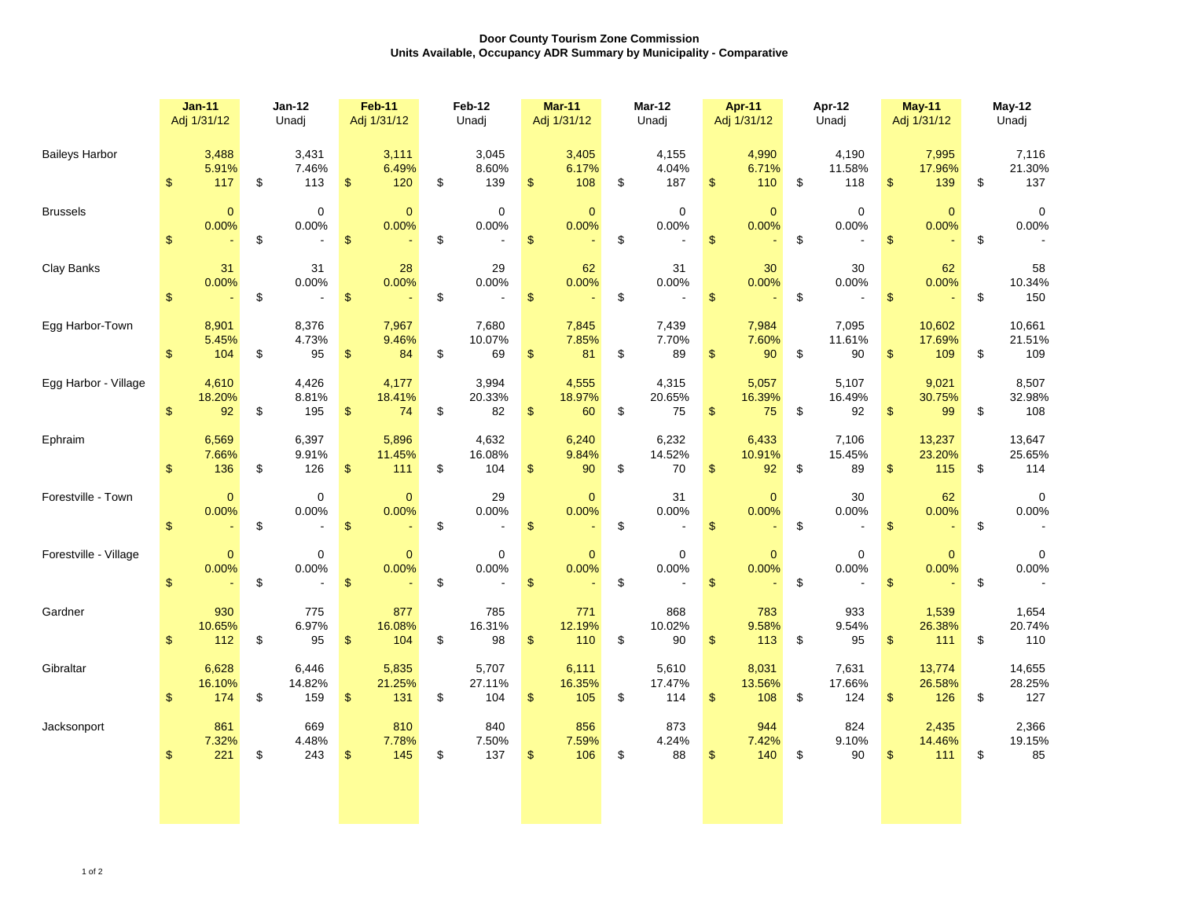## **Door County Tourism Zone Commission Units Available, Occupancy ADR Summary by Municipality - Comparative**

|                       | $Jan-11$<br>Adj 1/31/12 |                        | <b>Jan-12</b><br>Unadj |                        | <b>Feb-11</b><br>Adj 1/31/12 |                        | <b>Feb-12</b><br>Unadj |                        | <b>Mar-11</b><br>Adj 1/31/12 |                        | <b>Mar-12</b><br>Unadj |                        | <b>Apr-11</b><br>Adj 1/31/12                      | Apr-12<br>Unadj |                        | <b>May-11</b><br>Adj 1/31/12 |                         | May-12<br>Unadj |                         |
|-----------------------|-------------------------|------------------------|------------------------|------------------------|------------------------------|------------------------|------------------------|------------------------|------------------------------|------------------------|------------------------|------------------------|---------------------------------------------------|-----------------|------------------------|------------------------------|-------------------------|-----------------|-------------------------|
| <b>Baileys Harbor</b> | $\mathsf{\$}$           | 3,488<br>5.91%<br>117  | \$                     | 3,431<br>7.46%<br>113  | $\sqrt[6]{3}$                | 3,111<br>6.49%<br>120  | \$                     | 3,045<br>8.60%<br>139  | $\frac{1}{2}$                | 3,405<br>6.17%<br>108  | \$                     | 4,155<br>4.04%<br>187  | 4,990<br>6.71%<br>\$<br>110                       | \$              | 4,190<br>11.58%<br>118 | \$                           | 7,995<br>17.96%<br>139  | \$              | 7,116<br>21.30%<br>137  |
| <b>Brussels</b>       | $\sqrt[6]{\frac{1}{2}}$ | $\mathbf 0$<br>0.00%   | \$                     | $\mathbf 0$<br>0.00%   | $\boldsymbol{\$}$            | $\mathbf{0}$<br>0.00%  | \$                     | 0<br>0.00%             | $\boldsymbol{\mathsf{S}}$    | $\mathbf{0}$<br>0.00%  | \$                     | 0<br>0.00%             | $\mathbf{0}$<br>0.00%<br>$\mathfrak{s}$           | \$              | $\mathbf 0$<br>0.00%   | $\mathsf{\$}$                | $\mathbf{0}$<br>0.00%   | \$              | $\mathbf 0$<br>0.00%    |
| Clay Banks            | $\sqrt[6]{\frac{1}{2}}$ | 31<br>0.00%            | \$                     | 31<br>0.00%            | $\boldsymbol{\$}$            | 28<br>0.00%            | \$                     | 29<br>0.00%            | $\$\$                        | 62<br>0.00%            | \$                     | 31<br>0.00%            | 30<br>0.00%<br>$\mathfrak{L}$                     | \$              | 30<br>0.00%            | $\sqrt[6]{\frac{1}{2}}$      | 62<br>0.00%             | \$              | 58<br>10.34%<br>150     |
| Egg Harbor-Town       | $\mathbb{S}$            | 8,901<br>5.45%<br>104  | \$                     | 8,376<br>4.73%<br>95   | $\mathbf{\$}$                | 7,967<br>9.46%<br>84   | \$                     | 7,680<br>10.07%<br>69  | $\mathfrak{s}$               | 7,845<br>7.85%<br>81   | \$                     | 7,439<br>7.70%<br>89   | 7,984<br>7.60%<br>$\mathfrak{s}$<br>90            | \$              | 7,095<br>11.61%<br>90  | \$                           | 10,602<br>17.69%<br>109 | \$              | 10,661<br>21.51%<br>109 |
| Egg Harbor - Village  | $\mathbf{s}$            | 4,610<br>18.20%<br>92  | \$                     | 4,426<br>8.81%<br>195  | $\sqrt[6]{3}$                | 4,177<br>18.41%<br>74  | \$                     | 3,994<br>20.33%<br>82  | $\sqrt[6]{\frac{1}{2}}$      | 4,555<br>18.97%<br>60  | \$                     | 4,315<br>20.65%<br>75  | 5,057<br>16.39%<br>$\mathfrak{s}$<br>75           | \$              | 5,107<br>16.49%<br>92  | $\mathfrak{S}$               | 9,021<br>30.75%<br>99   | \$              | 8,507<br>32.98%<br>108  |
| Ephraim               | $\mathfrak{S}$          | 6,569<br>7.66%<br>136  | \$                     | 6,397<br>9.91%<br>126  | \$                           | 5,896<br>11.45%<br>111 | \$                     | 4,632<br>16.08%<br>104 | \$                           | 6,240<br>9.84%<br>90   | \$                     | 6,232<br>14.52%<br>70  | 6,433<br>10.91%<br>$\sqrt[6]{\frac{1}{2}}$<br>92  | \$              | 7,106<br>15.45%<br>89  | $\frac{2}{3}$                | 13,237<br>23.20%<br>115 | \$              | 13,647<br>25.65%<br>114 |
| Forestville - Town    | $\sqrt[6]{\frac{1}{2}}$ | 0<br>0.00%             | \$                     | $\mathbf 0$<br>0.00%   | $\sqrt{3}$                   | $\mathbf 0$<br>0.00%   | \$                     | 29<br>0.00%            | $\frac{1}{2}$                | $\mathbf{0}$<br>0.00%  | \$                     | 31<br>0.00%            | $\mathbf{0}$<br>0.00%<br>$\mathfrak{s}$           | \$              | 30<br>0.00%            | $\mathsf{\$}$                | 62<br>0.00%             | \$              | $\mathbf 0$<br>0.00%    |
| Forestville - Village | $\sqrt[6]{\frac{1}{2}}$ | $\mathbf 0$<br>0.00%   | \$                     | $\mathbf 0$<br>0.00%   | $\mathbf{\$}$                | $\mathbf{0}$<br>0.00%  | \$                     | $\pmb{0}$<br>0.00%     | $\mathsf{\$}$                | $\mathbf{0}$<br>0.00%  | \$                     | $\pmb{0}$<br>0.00%     | $\pmb{0}$<br>0.00%<br>$\mathsf{\$}$               | \$              | $\mathbf 0$<br>0.00%   | $\mathsf{\$}$                | $\pmb{0}$<br>0.00%      | \$              | 0<br>0.00%              |
| Gardner               | $\mathsf{\$}$           | 930<br>10.65%<br>112   | \$                     | 775<br>6.97%<br>95     | $\mathfrak{s}$               | 877<br>16.08%<br>104   | \$                     | 785<br>16.31%<br>98    | $\sqrt[6]{\frac{1}{2}}$      | 771<br>12.19%<br>110   | \$                     | 868<br>10.02%<br>90    | 783<br>9.58%<br>$\mathfrak{s}$<br>113             | \$              | 933<br>9.54%<br>95     | \$                           | 1,539<br>26.38%<br>111  | \$              | 1,654<br>20.74%<br>110  |
| Gibraltar             | $\mathsf{\$}$           | 6,628<br>16.10%<br>174 | \$                     | 6,446<br>14.82%<br>159 | $\frac{1}{2}$                | 5,835<br>21.25%<br>131 | \$                     | 5,707<br>27.11%<br>104 | $\sqrt[6]{\frac{1}{2}}$      | 6,111<br>16.35%<br>105 | \$                     | 5,610<br>17.47%<br>114 | 8,031<br>13.56%<br>$\sqrt[6]{\frac{1}{2}}$<br>108 | \$              | 7,631<br>17.66%<br>124 | \$                           | 13,774<br>26.58%<br>126 | \$              | 14,655<br>28.25%<br>127 |
| Jacksonport           | \$                      | 861<br>7.32%<br>221    | \$                     | 669<br>4.48%<br>243    | $\boldsymbol{\theta}$        | 810<br>7.78%<br>145    | \$                     | 840<br>7.50%<br>137    | $\frac{1}{2}$                | 856<br>7.59%<br>106    | \$                     | 873<br>4.24%<br>88     | 944<br>7.42%<br>$\sqrt[6]{\frac{1}{2}}$<br>140    | \$              | 824<br>9.10%<br>90     | \$                           | 2,435<br>14.46%<br>111  | \$              | 2,366<br>19.15%<br>85   |
|                       |                         |                        |                        |                        |                              |                        |                        |                        |                              |                        |                        |                        |                                                   |                 |                        |                              |                         |                 |                         |